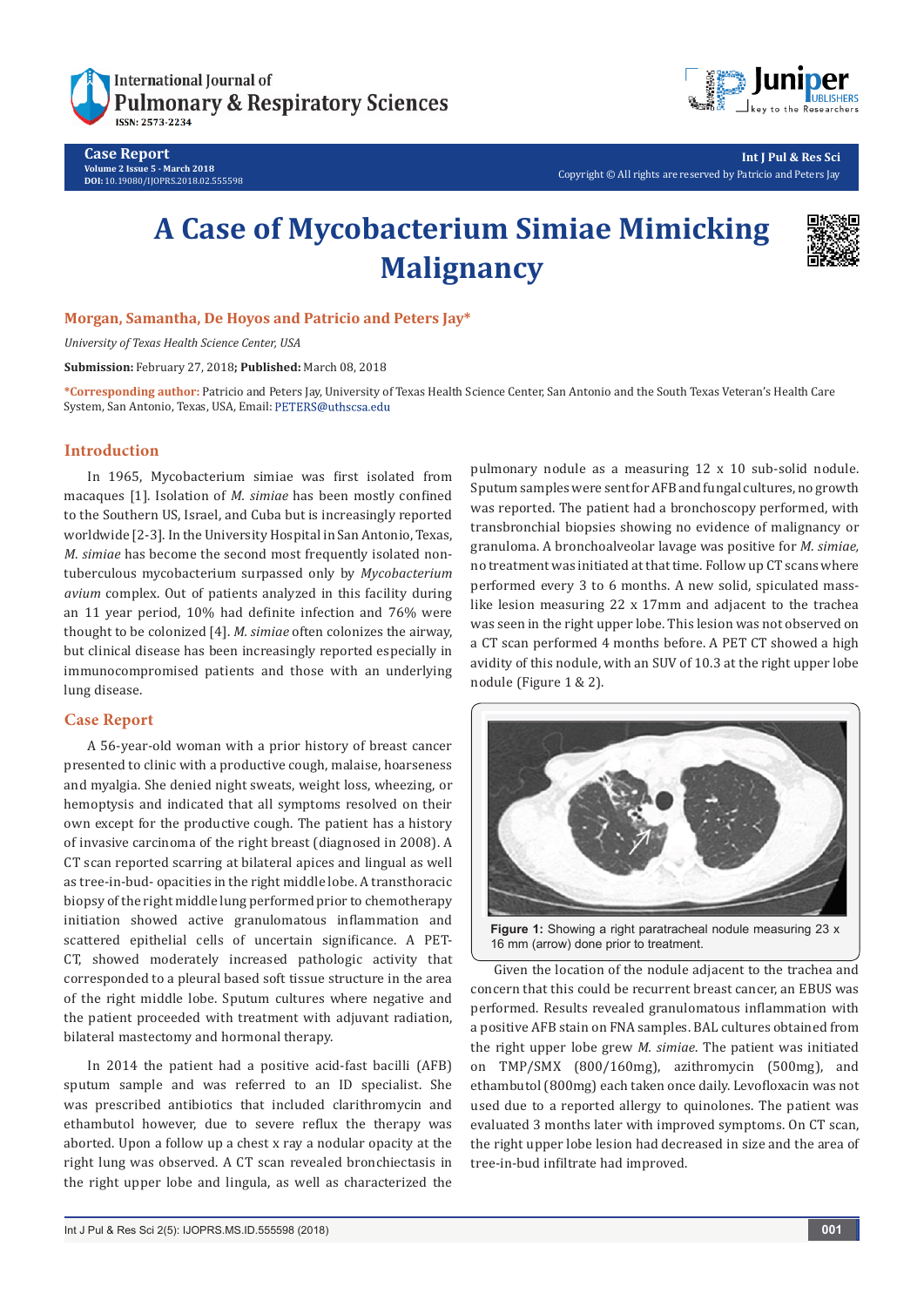

**Case Report Volume 2 Issue 5 - March 2018 DOI:** [10.19080/IJOPRS.2018.02.555598](http://dx.doi.org/10.19080/IJOPRS.2018.02.555598)



**Int J Pul & Res Sci** Copyright © All rights are reserved by Patricio and Peters Jay

# **A Case of Mycobacterium Simiae Mimicking Malignancy**



## **Morgan, Samantha, De Hoyos and Patricio and Peters Jay\***

*University of Texas Health Science Center, USA*

**Submission:** February 27, 2018**; Published:** March 08, 2018

**\*Corresponding author:** Patricio and Peters Jay, University of Texas Health Science Center, San Antonio and the South Texas Veteran's Health Care System, San Antonio, Texas, USA, Email: PETERS@uthscsa.edu

## **Introduction**

In 1965, Mycobacterium simiae was first isolated from macaques [1]. Isolation of *M. simiae* has been mostly confined to the Southern US, Israel, and Cuba but is increasingly reported worldwide [2-3]. In the University Hospital in San Antonio, Texas, *M. simige* has become the second most frequently isolated nontuberculous mycobacterium surpassed only by *Mycobacterium avium* complex. Out of patients analyzed in this facility during an 11 year period, 10% had definite infection and 76% were thought to be colonized [4]. *M. simiae* often colonizes the airway, but clinical disease has been increasingly reported especially in immunocompromised patients and those with an underlying lung disease.

# **Case Report**

A 56-year-old woman with a prior history of breast cancer presented to clinic with a productive cough, malaise, hoarseness and myalgia. She denied night sweats, weight loss, wheezing, or hemoptysis and indicated that all symptoms resolved on their own except for the productive cough. The patient has a history of invasive carcinoma of the right breast (diagnosed in 2008). A CT scan reported scarring at bilateral apices and lingual as well as tree-in-bud- opacities in the right middle lobe. A transthoracic biopsy of the right middle lung performed prior to chemotherapy initiation showed active granulomatous inflammation and scattered epithelial cells of uncertain significance. A PET-CT, showed moderately increased pathologic activity that corresponded to a pleural based soft tissue structure in the area of the right middle lobe. Sputum cultures where negative and the patient proceeded with treatment with adjuvant radiation, bilateral mastectomy and hormonal therapy.

In 2014 the patient had a positive acid-fast bacilli (AFB) sputum sample and was referred to an ID specialist. She was prescribed antibiotics that included clarithromycin and ethambutol however, due to severe reflux the therapy was aborted. Upon a follow up a chest x ray a nodular opacity at the right lung was observed. A CT scan revealed bronchiectasis in the right upper lobe and lingula, as well as characterized the

pulmonary nodule as a measuring 12 x 10 sub-solid nodule. Sputum samples were sent for AFB and fungal cultures, no growth was reported. The patient had a bronchoscopy performed, with transbronchial biopsies showing no evidence of malignancy or granuloma. A bronchoalveolar lavage was positive for *M. simiae,* no treatment was initiated at that time. Follow up CT scans where performed every 3 to 6 months. A new solid, spiculated masslike lesion measuring 22 x 17mm and adjacent to the trachea was seen in the right upper lobe. This lesion was not observed on a CT scan performed 4 months before. A PET CT showed a high avidity of this nodule, with an SUV of 10.3 at the right upper lobe nodule (Figure 1 & 2).



16 mm (arrow) done prior to treatment.

Given the location of the nodule adjacent to the trachea and concern that this could be recurrent breast cancer, an EBUS was performed. Results revealed granulomatous inflammation with a positive AFB stain on FNA samples. BAL cultures obtained from the right upper lobe grew *M. simiae*. The patient was initiated on TMP/SMX (800/160mg), azithromycin (500mg), and ethambutol (800mg) each taken once daily. Levofloxacin was not used due to a reported allergy to quinolones. The patient was evaluated 3 months later with improved symptoms. On CT scan, the right upper lobe lesion had decreased in size and the area of tree-in-bud infiltrate had improved.